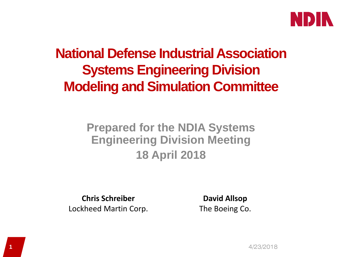

### **National Defense Industrial Association Systems Engineering Division Modeling and Simulation Committee**

#### **Prepared for the NDIA Systems Engineering Division Meeting 18 April 2018**

**Chris Schreiber** Lockheed Martin Corp.

**David Allsop** The Boeing Co.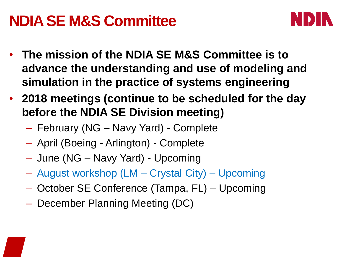## **NDIA SE M&S Committee**



- **The mission of the NDIA SE M&S Committee is to advance the understanding and use of modeling and simulation in the practice of systems engineering**
- **2018 meetings (continue to be scheduled for the day before the NDIA SE Division meeting)**
	- February (NG Navy Yard) Complete
	- April (Boeing Arlington) Complete
	- June (NG Navy Yard) Upcoming
	- August workshop (LM Crystal City) Upcoming
	- October SE Conference (Tampa, FL) Upcoming
	- December Planning Meeting (DC)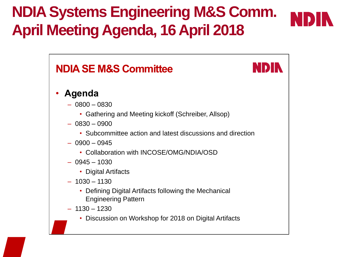# **NDIA Systems Engineering M&S Comm. April Meeting Agenda, 16 April 2018**





- 1130 1230
	- Discussion on Workshop for 2018 on Digital Artifacts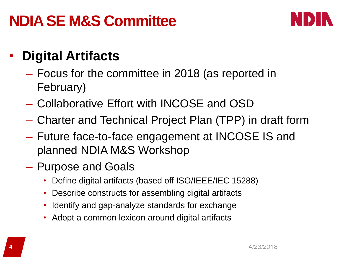## **NDIA SE M&S Committee**



#### • **Digital Artifacts**

- Focus for the committee in 2018 (as reported in February)
- Collaborative Effort with INCOSE and OSD
- Charter and Technical Project Plan (TPP) in draft form
- Future face-to-face engagement at INCOSE IS and planned NDIA M&S Workshop
- Purpose and Goals
	- Define digital artifacts (based off ISO/IEEE/IEC 15288)
	- Describe constructs for assembling digital artifacts
	- Identify and gap-analyze standards for exchange
	- Adopt a common lexicon around digital artifacts